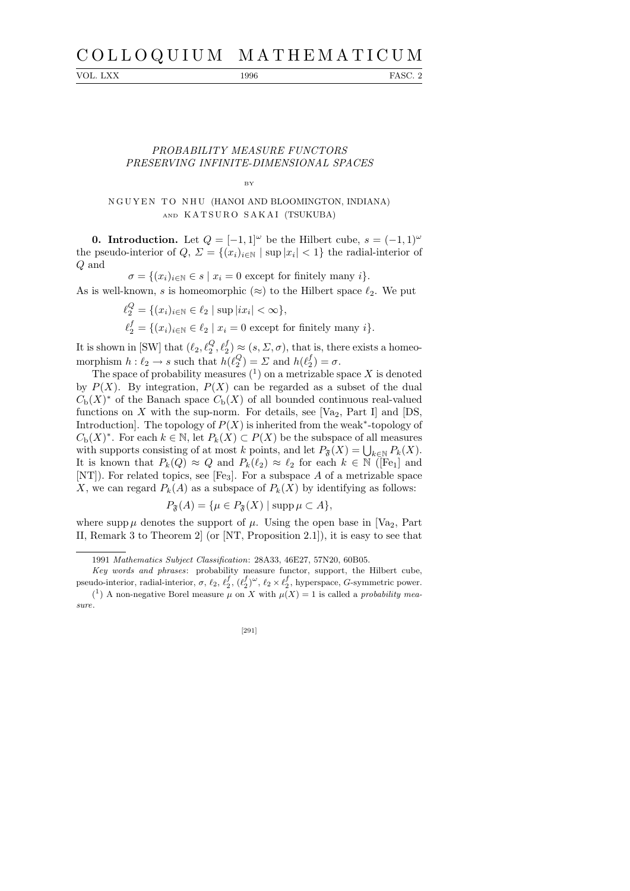# C O L L O Q U I U M M A T H E M A T I C U M

VOL. LXX 1996 FASC. 2

### PROBABILITY MEASURE FUNCTORS PRESERVING INFINITE-DIMENSIONAL SPACES

BY

## N G U Y E N T O N H U (HANOI AND BLOOMINGTON, INDIANA) AND KATSURO SAKAI (TSUKUBA)

**0. Introduction.** Let  $Q = [-1, 1]^\omega$  be the Hilbert cube,  $s = (-1, 1)^\omega$ the pseudo-interior of  $Q, \Sigma = \{(x_i)_{i \in \mathbb{N}} \mid \sup |x_i| < 1\}$  the radial-interior of Q and

 $\sigma = \{(x_i)_{i \in \mathbb{N}} \in s \mid x_i = 0 \text{ except for finitely many } i\}.$ 

As is well-known, s is homeomorphic  $(\approx)$  to the Hilbert space  $\ell_2$ . We put

 $\ell_2^Q = \{(x_i)_{i \in \mathbb{N}} \in \ell_2 \mid \sup |ix_i| < \infty \},\$  $\ell_2^f = \{(x_i)_{i \in \mathbb{N}} \in \ell_2 \mid x_i = 0 \text{ except for finitely many } i\}.$ 

It is shown in [SW] that  $(\ell_2, \ell_2^Q, \ell_2^f) \approx (s, \Sigma, \sigma)$ , that is, there exists a homeomorphism  $h: \ell_2 \to s$  such that  $h(\ell_2^Q)$  $\binom{Q}{2} = \sum$  and  $h(\ell_2^f)$  $i_2^J$ ) =  $\sigma$ .

The space of probability measures  $(1)$  on a metrizable space X is denoted by  $P(X)$ . By integration,  $P(X)$  can be regarded as a subset of the dual  $C_{\rm b}(X)^*$  of the Banach space  $C_{\rm b}(X)$  of all bounded continuous real-valued functions on X with the sup-norm. For details, see  $[Va_2, Part I]$  and  $[DS,$ Introduction]. The topology of  $P(X)$  is inherited from the weak<sup>\*</sup>-topology of  $C_{\text{b}}(X)^*$ . For each  $k \in \mathbb{N}$ , let  $P_k(X) \subset P(X)$  be the subspace of all measures with supports consisting of at most k points, and let  $P_{\mathfrak{F}}(X) = \bigcup_{k \in \mathbb{N}} P_k(X)$ . It is known that  $P_k(Q) \approx Q$  and  $P_k(\ell_2) \approx \ell_2$  for each  $k \in \mathbb{N}$  ([Fe<sub>1</sub>] and [NT]). For related topics, see [Fe<sub>3</sub>]. For a subspace  $A$  of a metrizable space X, we can regard  $P_k(A)$  as a subspace of  $P_k(X)$  by identifying as follows:

$$
P_{\mathfrak{F}}(A) = \{ \mu \in P_{\mathfrak{F}}(X) \mid \operatorname{supp} \mu \subset A \},
$$

where supp  $\mu$  denotes the support of  $\mu$ . Using the open base in [Va<sub>2</sub>, Part II, Remark 3 to Theorem 2] (or [NT, Proposition 2.1]), it is easy to see that

[291]

<sup>1991</sup> *Mathematics Subject Classification*: 28A33, 46E27, 57N20, 60B05.

*Key words and phrases*: probability measure functor, support, the Hilbert cube, pseudo-interior, radial-interior,  $\sigma$ ,  $\ell_2$ ,  $\ell_2^f$ ,  $(\ell_2^f)^\omega$ ,  $\ell_2 \times \ell_2^f$ , hyperspace, *G*-symmetric power. <sup>(1</sup>) A non-negative Borel measure  $\mu$  on *X* with  $\mu$ (*X*) = 1 is called a *probability measure*.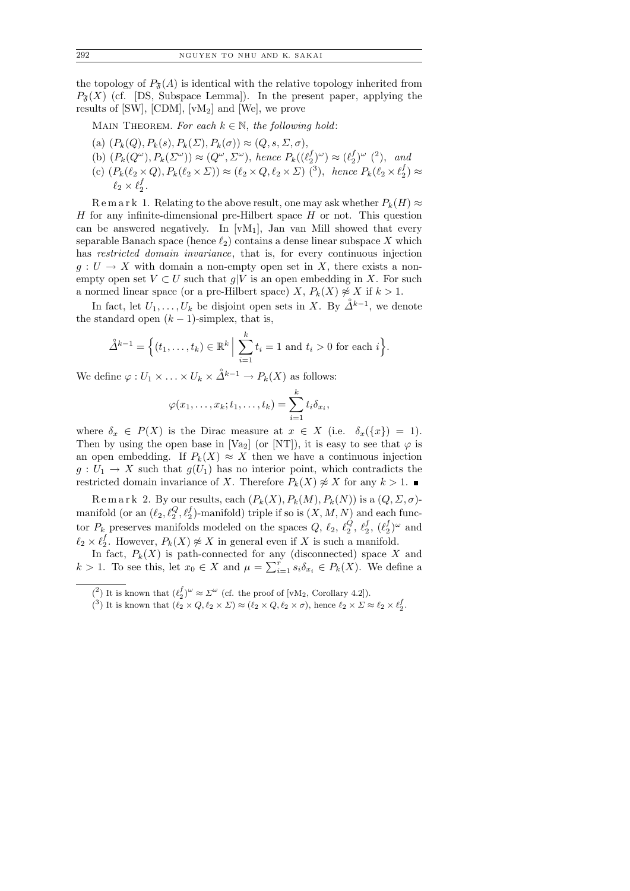the topology of  $P_{\mathfrak{F}}(A)$  is identical with the relative topology inherited from  $P_{\tilde{\mathfrak{F}}}(X)$  (cf. [DS, Subspace Lemma]). In the present paper, applying the results of  $[SW]$ ,  $[CDM]$ ,  $[vM_2]$  and  $[We]$ , we prove

MAIN THEOREM. For each  $k \in \mathbb{N}$ , the following hold:

- (a)  $(P_k(Q), P_k(s), P_k(\Sigma), P_k(\sigma)) \approx (Q, s, \Sigma, \sigma),$
- (b)  $(P_k(Q^{\omega}), P_k(\Sigma^{\omega})) \approx (Q^{\omega}, \Sigma^{\omega}),$  hence  $P_k((\ell_2^f)$  $(\ell_2^{f})^{\omega}) \approx (\ell_2^{f})$  $\binom{f}{2}^{\omega}$  (2), and
- (c)  $(P_k(\ell_2 \times Q), P_k(\ell_2 \times \Sigma)) \approx (\ell_2 \times Q, \ell_2 \times \Sigma)$  (<sup>3</sup>), hence  $P_k(\ell_2 \times \ell_2^f)$  $_2^{\prime})\approx$  $\ell_2 \times \ell_2^f$  $\frac{J}{2}$  .

R e m a r k 1. Relating to the above result, one may ask whether  $P_k(H) \approx$ H for any infinite-dimensional pre-Hilbert space  $H$  or not. This question can be answered negatively. In  $[vM_1]$ , Jan van Mill showed that every separable Banach space (hence  $\ell_2$ ) contains a dense linear subspace X which has restricted domain invariance, that is, for every continuous injection  $g: U \to X$  with domain a non-empty open set in X, there exists a nonempty open set  $V \subset U$  such that  $g|V$  is an open embedding in X. For such a normed linear space (or a pre-Hilbert space) X,  $P_k(X) \not\approx X$  if  $k > 1$ .

In fact, let  $U_1, \ldots, U_k$  be disjoint open sets in X. By  $\mathring{\Delta}^{k-1}$ , we denote the standard open  $(k-1)$ -simplex, that is,

$$
\mathring{\Delta}^{k-1} = \Big\{ (t_1, \ldots, t_k) \in \mathbb{R}^k \Big| \sum_{i=1}^k t_i = 1 \text{ and } t_i > 0 \text{ for each } i \Big\}.
$$

We define  $\varphi: U_1 \times \ldots \times U_k \times \mathring{\Delta}^{k-1} \to P_k(X)$  as follows:

$$
\varphi(x_1,\ldots,x_k;t_1,\ldots,t_k)=\sum_{i=1}^k t_i\delta_{x_i},
$$

where  $\delta_x \in P(X)$  is the Dirac measure at  $x \in X$  (i.e.  $\delta_x(\{x\}) = 1$ ). Then by using the open base in [Va<sub>2</sub>] (or [NT]), it is easy to see that  $\varphi$  is an open embedding. If  $P_k(X) \approx X$  then we have a continuous injection  $g: U_1 \to X$  such that  $g(U_1)$  has no interior point, which contradicts the restricted domain invariance of X. Therefore  $P_k(X) \not\approx X$  for any  $k > 1$ .

 $\text{R} \text{ e m a r k } 2$ . By our results, each  $(P_k(X), P_k(M), P_k(N))$  is a  $(Q, \Sigma, \sigma)$ manifold (or an  $(\ell_2, \ell_2^Q, \ell_2^f)$ -manifold) triple if so is  $(X, M, N)$  and each functor  $P_k$  preserves manifolds modeled on the spaces  $Q, \ell_2, \ell_2^Q$  $_2^Q, \, \ell_2^f$  $_2^f,\ (\ell_2^f$  $j^{(f)}_2$  and  $\ell_2 \times \ell_2^f$ <sup>*I*</sup>, However,  $P_k(X) \not\approx X$  in general even if X is such a manifold.

In fact,  $P_k(X)$  is path-connected for any (disconnected) space X and  $k > 1$ . To see this, let  $x_0 \in X$  and  $\mu = \sum_{i=1}^r s_i \delta_{x_i} \in P_k(X)$ . We define a

 $({}^{3})$  It is known that  $(\ell_{2} \times Q, \ell_{2} \times \Sigma) \approx (\ell_{2} \times Q, \ell_{2} \times \sigma)$ , hence  $\ell_{2} \times \Sigma \approx \ell_{2} \times \ell_{2}^{f}$ .

<sup>(&</sup>lt;sup>2</sup>) It is known that  $(\ell_2^f)^\omega \approx \Sigma^\omega$  (cf. the proof of [vM<sub>2</sub>, Corollary 4.2]).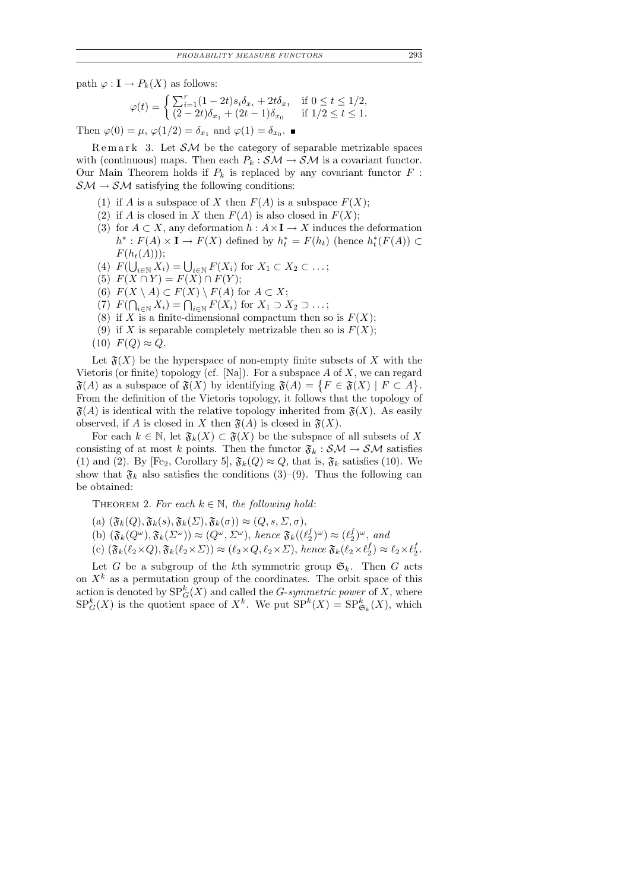path  $\varphi : \mathbf{I} \to P_k(X)$  as follows:

$$
\varphi(t) = \begin{cases} \sum_{i=1}^{r} (1 - 2t)s_i \delta_{x_i} + 2t \delta_{x_1} & \text{if } 0 \le t \le 1/2, \\ (2 - 2t)\delta_{x_1} + (2t - 1)\delta_{x_0} & \text{if } 1/2 \le t \le 1. \end{cases}
$$

Then  $\varphi(0) = \mu$ ,  $\varphi(1/2) = \delta_{x_1}$  and  $\varphi(1) = \delta_{x_0}$ .

 $\text{Remark}$  3. Let  $\mathcal{SM}$  be the category of separable metrizable spaces with (continuous) maps. Then each  $P_k : \mathcal{SM} \to \mathcal{SM}$  is a covariant functor. Our Main Theorem holds if  $P_k$  is replaced by any covariant functor  $F$ :  $S\mathcal{M} \to \mathcal{SM}$  satisfying the following conditions:

- (1) if A is a subspace of X then  $F(A)$  is a subspace  $F(X)$ :
- (2) if A is closed in X then  $F(A)$  is also closed in  $F(X)$ ;
- (3) for  $A \subset X$ , any deformation  $h : A \times I \to X$  induces the deformation  $h^*: F(A) \times I \to F(X)$  defined by  $h_t^* = F(h_t)$  (hence  $h_t^*(F(A)) \subset$  $F(h_t(A))$ ;
- (4)  $F(\bigcup_{i\in\mathbb{N}} X_i) = \bigcup_{i\in\mathbb{N}} F(X_i)$  for  $X_1 \subset X_2 \subset \ldots;$
- (5)  $F(X \cap Y) = F(X) \cap F(Y);$
- (6)  $F(X \setminus A) \subset F(X) \setminus F(A)$  for  $A \subset X$ ;
- (7)  $F(\bigcap_{i\in\mathbb{N}} X_i) = \bigcap_{i\in\mathbb{N}} F(X_i)$  for  $X_1 \supset X_2 \supset \dots;$
- (8) if X is a finite-dimensional compactum then so is  $F(X)$ ;
- (9) if X is separable completely metrizable then so is  $F(X)$ ;
- $(10)$   $F(Q) \approx Q$ .

Let  $\mathfrak{F}(X)$  be the hyperspace of non-empty finite subsets of X with the Vietoris (or finite) topology (cf. [Na]). For a subspace  $A$  of  $X$ , we can regard  $\mathfrak{F}(A)$  as a subspace of  $\mathfrak{F}(X)$  by identifying  $\mathfrak{F}(A) = \{ F \in \mathfrak{F}(X) \mid F \subset A \}.$ From the definition of the Vietoris topology, it follows that the topology of  $\mathfrak{F}(A)$  is identical with the relative topology inherited from  $\mathfrak{F}(X)$ . As easily observed, if A is closed in X then  $\mathfrak{F}(A)$  is closed in  $\mathfrak{F}(X)$ .

For each  $k \in \mathbb{N}$ , let  $\mathfrak{F}_k(X) \subset \mathfrak{F}(X)$  be the subspace of all subsets of X consisting of at most k points. Then the functor  $\mathfrak{F}_k : \mathcal{SM} \to \mathcal{SM}$  satisfies (1) and (2). By [Fe<sub>2</sub>, Corollary 5],  $\mathfrak{F}_k(Q) \approx Q$ , that is,  $\mathfrak{F}_k$  satisfies (10). We show that  $\mathfrak{F}_k$  also satisfies the conditions (3)–(9). Thus the following can be obtained:

THEOREM 2. For each  $k \in \mathbb{N}$ , the following hold:

- (a)  $(\mathfrak{F}_k(Q), \mathfrak{F}_k(s), \mathfrak{F}_k(\Sigma), \mathfrak{F}_k(\sigma)) \approx (Q, s, \Sigma, \sigma),$
- (b)  $(\mathfrak{F}_k(Q^{\omega}), \mathfrak{F}_k(\Sigma^{\omega})) \approx (Q^{\omega}, \Sigma^{\omega}),$  hence  $\mathfrak{F}_k((\ell_2^f)$  $\binom{f}{2}^{\omega}$ )  $\approx$  ( $\ell_2^f$  $_{2}^{f})^{\omega}$ , and
- (c)  $(\mathfrak{F}_k(\ell_2\times Q), \mathfrak{F}_k(\ell_2\times \Sigma)) \approx (\ell_2\times Q, \ell_2\times \Sigma)$ , hence  $\mathfrak{F}_k(\ell_2\times \ell_2^f)$  $\binom{f}{2} \approx \ell_2 \times \ell_2^f$  $\frac{J}{2}$  .

Let G be a subgroup of the kth symmetric group  $\mathfrak{S}_k$ . Then G acts on  $X^k$  as a permutation group of the coordinates. The orbit space of this action is denoted by  $SP_G^k(X)$  and called the *G-symmetric power* of X, where  $SP^k_G(X)$  is the quotient space of  $X^k$ . We put  $SP^k(X) = SP^k_{\mathfrak{S}_k}(X)$ , which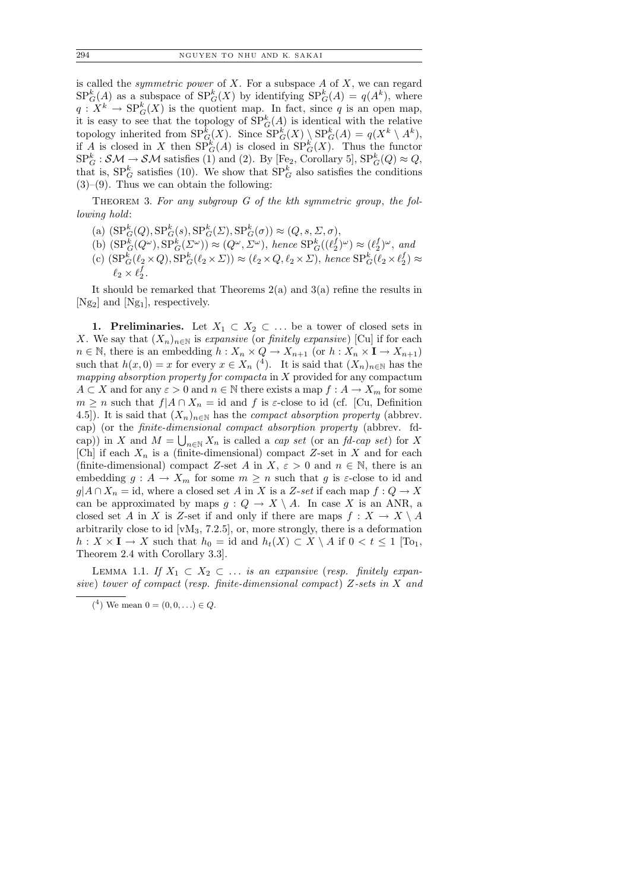is called the *symmetric power* of  $X$ . For a subspace  $A$  of  $X$ , we can regard  $SP^k_G(A)$  as a subspace of  $SP^k_G(X)$  by identifying  $SP^k_G(A) = q(A^k)$ , where  $q: X^k \to \mathrm{SP}_G^k(X)$  is the quotient map. In fact, since q is an open map, it is easy to see that the topology of  $SP_G^k(A)$  is identical with the relative topology inherited from  $SP_G^k(X)$ . Since  $SP_G^k(X) \setminus SP_G^k(A) = q(X^k \setminus A^k)$ , if A is closed in X then  $SP^k_G(A)$  is closed in  $SP^k_G(X)$ . Thus the functor  $SP_G^k : \mathcal{SM} \to \mathcal{SM}$  satisfies (1) and (2). By [Fe<sub>2</sub>, Corollary 5],  $SP_G^k(Q) \approx Q$ , that is,  $SP_G^k$  satisfies (10). We show that  $SP_G^k$  also satisfies the conditions  $(3)-(9)$ . Thus we can obtain the following:

THEOREM 3. For any subgroup G of the kth symmetric group, the following hold:

- (a)  $(SP_G^k(Q), SP_G^k(s), SP_G^k(\Sigma), SP_G^k(\sigma)) \approx (Q, s, \Sigma, \sigma),$
- (b)  $(SP^k_G(Q^{\omega}), SP^k_G(\Sigma^{\omega})) \approx (Q^{\omega}, \Sigma^{\omega}), \text{ hence } SP^k_G((\ell_2^f \ell_2^{\omega}))$  $(\ell_2^f)^\omega$ )  $\approx$   $(\ell_2^f)$  $_{2}^{f})^{\omega}$ , and
- (c)  $(SP_G^k(\ell_2 \times Q), SP_G^k(\ell_2 \times \Sigma)) \approx (\ell_2 \times Q, \ell_2 \times \Sigma)$ , hence  $SP_G^k(\ell_2 \times \ell_2^f)$  $_{2}^{J})\approx$  $\ell_2 \times \ell_2^f$  $\frac{J}{2}$ .

It should be remarked that Theorems  $2(a)$  and  $3(a)$  refine the results in [Ng2] and [Ng1], respectively.

1. Preliminaries. Let  $X_1 \subset X_2 \subset \ldots$  be a tower of closed sets in X. We say that  $(X_n)_{n\in\mathbb{N}}$  is expansive (or finitely expansive) [Cu] if for each  $n \in \mathbb{N}$ , there is an embedding  $h: X_n \times Q \to X_{n+1}$  (or  $h: X_n \times I \to X_{n+1}$ ) such that  $h(x, 0) = x$  for every  $x \in X_n$  (4). It is said that  $(X_n)_{n \in \mathbb{N}}$  has the mapping absorption property for compacta in  $X$  provided for any compactum  $A \subset X$  and for any  $\varepsilon > 0$  and  $n \in \mathbb{N}$  there exists a map  $f : A \to X_m$  for some  $m \geq n$  such that  $f|A \cap X_n = id$  and f is  $\varepsilon$ -close to id (cf. [Cu, Definition 4.5]). It is said that  $(X_n)_{n\in\mathbb{N}}$  has the *compact absorption property* (abbrev. cap) (or the finite-dimensional compact absorption property (abbrev. fdcap)) in X and  $M = \bigcup_{n \in \mathbb{N}} X_n$  is called a *cap set* (or an *fd-cap set*) for X [Ch] if each  $X_n$  is a (finite-dimensional) compact Z-set in X and for each (finite-dimensional) compact Z-set A in X,  $\varepsilon > 0$  and  $n \in \mathbb{N}$ , there is an embedding  $g: A \to X_m$  for some  $m \geq n$  such that g is  $\varepsilon$ -close to id and  $g|A \cap X_n = id$ , where a closed set A in X is a Z-set if each map  $f: Q \to X$ can be approximated by maps  $g: Q \to X \setminus A$ . In case X is an ANR, a closed set A in X is Z-set if and only if there are maps  $f: X \to X \setminus A$ arbitrarily close to id  $\lbrack \text{vM}_3, 7.2.5 \rbrack$ , or, more strongly, there is a deformation  $h: X \times I \to X$  such that  $h_0 = id$  and  $h_t(X) \subset X \setminus A$  if  $0 < t \leq 1$  [To<sub>1</sub>, Theorem 2.4 with Corollary 3.3].

LEMMA 1.1. If  $X_1 \subset X_2 \subset \ldots$  is an expansive (resp. finitely expansive) tower of compact (resp. finite-dimensional compact) Z-sets in X and

 $(4)$  We mean  $0 = (0, 0, ...) \in Q$ .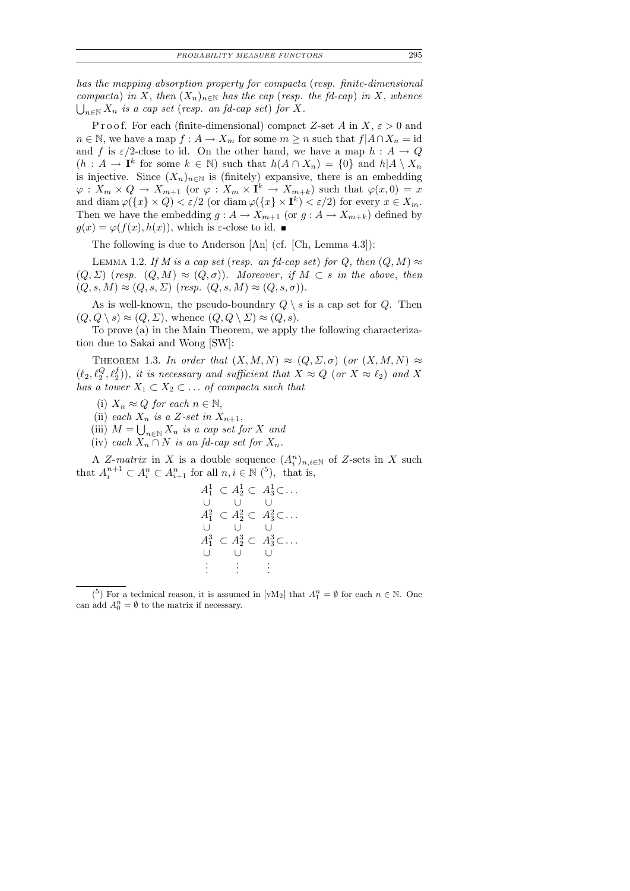has the mapping absorption property for compacta (resp. finite-dimensional compacta) in X, then  $(X_n)_{n\in\mathbb{N}}$  has the cap (resp. the fd-cap) in X, whence  $\bigcup_{n\in\mathbb{N}} X_n$  is a cap set (resp. an fd-cap set) for X.

Proof. For each (finite-dimensional) compact Z-set A in X,  $\varepsilon > 0$  and  $n \in \mathbb{N}$ , we have a map  $f: A \to X_m$  for some  $m \ge n$  such that  $f|A \cap X_n = id$ and f is  $\varepsilon/2$ -close to id. On the other hand, we have a map  $h : A \to Q$  $(h: A \to \mathbf{I}^k$  for some  $k \in \mathbb{N}$ ) such that  $h(A \cap X_n) = \{0\}$  and  $h|A \setminus X_n$ is injective. Since  $(X_n)_{n\in\mathbb{N}}$  is (finitely) expansive, there is an embedding  $\varphi: X_m \times Q \to X_{m+1}$  (or  $\varphi: X_m \times I^k \to X_{m+k}$ ) such that  $\varphi(x,0) = x$ and diam  $\varphi({x} \times Q) < \varepsilon/2$  (or diam  $\varphi({x} \times I^k) < \varepsilon/2$ ) for every  $x \in X_m$ . Then we have the embedding  $g : A \to X_{m+1}$  (or  $g : A \to X_{m+k}$ ) defined by  $g(x) = \varphi(f(x), h(x))$ , which is  $\varepsilon$ -close to id.

The following is due to Anderson [An] (cf. [Ch, Lemma 4.3]):

LEMMA 1.2. If M is a cap set (resp. an fd-cap set) for Q, then  $(Q, M) \approx$  $(Q, \Sigma)$  (resp.  $(Q, M) \approx (Q, \sigma)$ ). Moreover, if  $M \subset s$  in the above, then  $(Q, s, M) \approx (Q, s, \Sigma)$  (resp.  $(Q, s, M) \approx (Q, s, \sigma)$ ).

As is well-known, the pseudo-boundary  $Q \setminus s$  is a cap set for  $Q$ . Then  $(Q, Q \setminus s) \approx (Q, \Sigma)$ , whence  $(Q, Q \setminus \Sigma) \approx (Q, s)$ .

To prove (a) in the Main Theorem, we apply the following characterization due to Sakai and Wong [SW]:

THEOREM 1.3. In order that  $(X, M, N) \approx (Q, \Sigma, \sigma)$  (or  $(X, M, N) \approx$  $(\ell_2, \ell_2^Q, \ell_2^f)$ , it is necessary and sufficient that  $X \approx Q$  (or  $X \approx \ell_2$ ) and X has a tower  $X_1 \subset X_2 \subset \ldots$  of compacta such that

(i)  $X_n \approx Q$  for each  $n \in \mathbb{N}$ ,

(ii) each  $X_n$  is a Z-set in  $X_{n+1}$ ,

- (iii)  $M = \bigcup_{n \in \mathbb{N}} X_n$  is a cap set for X and
- (iv) each  $X_n \cap N$  is an fd-cap set for  $X_n$ .

A Z-matrix in X is a double sequence  $(A_i^n)_{n,i\in\mathbb{N}}$  of Z-sets in X such that  $A_i^{n+1} \subset A_i^n \subset A_{i+1}^n$  for all  $n, i \in \mathbb{N}$  (<sup>5</sup>), that is,

$$
A_1^1 \subset A_2^1 \subset A_3^1 \subset \dots
$$
  
\n
$$
A_1^2 \subset A_2^2 \subset A_3^2 \subset \dots
$$
  
\n
$$
A_1^3 \subset A_2^3 \subset A_3^3 \subset \dots
$$
  
\n
$$
A_1^3 \subset A_2^3 \subset A_3^3 \subset \dots
$$
  
\n
$$
\vdots \qquad \vdots \qquad \vdots
$$

 $\binom{5}{1}$  For a technical reason, it is assumed in [vM<sub>2</sub>] that  $A_1^n = \emptyset$  for each  $n \in \mathbb{N}$ . One can add  $A_0^n = \emptyset$  to the matrix if necessary.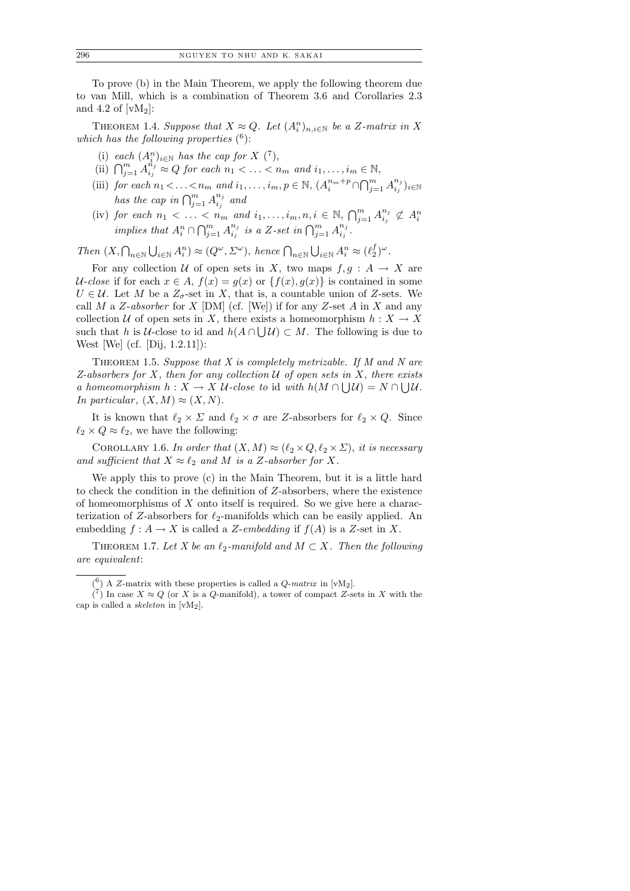To prove (b) in the Main Theorem, we apply the following theorem due to van Mill, which is a combination of Theorem 3.6 and Corollaries 2.3 and 4.2 of  $[wM_2]$ :

THEOREM 1.4. Suppose that  $X \approx Q$ . Let  $(A_i^n)_{n,i\in\mathbb{N}}$  be a Z-matrix in X which has the following properties  $(6)$ :

- (i) each  $(A_i^n)_{i\in\mathbb{N}}$  has the cap for X  $(7)$ ,
- (ii)  $\bigcap_{j=1}^m A_{i_j}^{n_j}$  $i_j^{n_j} \approx Q$  for each  $n_1 < \ldots < n_m$  and  $i_1, \ldots, i_m \in \mathbb{N}$ ,
- (iii) for each  $n_1 < \ldots < n_m$  and  $i_1, \ldots, i_m, p \in \mathbb{N}$ ,  $(A_i^{n_m+p} \cap \bigcap_{j=1}^m A_{i_j}^{n_j})$  $\binom{n_j}{i_j}{}i\!\in\!\mathbb{N}$ has the cap in  $\bigcap_{j=1}^m A_{i_j}^{n_j}$  and  $n_j$
- (iv) for each  $n_1 < \ldots < n_m$  and  $i_1, \ldots, i_m, n, i \in \mathbb{N}, \bigcap_{j=1}^m A_{i_j}^{n_j}$  $\binom{n_j}{i_j} \not\subset A_i^n$ implies that  $A_i^n \cap \bigcap_{j=1}^m A_{i_j}^{n_j}$  $\sum_{i_j}^{n_j}$  is a Z-set in  $\bigcap_{j=1}^m A_{i_j}^{n_j}$  $\frac{n_j}{i_j}$  .

Then  $(X, \bigcap_{n\in\mathbb{N}}\bigcup_{i\in\mathbb{N}}A_i^n) \approx (Q^{\omega}, \Sigma^{\omega}),$  hence  $\bigcap_{n\in\mathbb{N}}\bigcup_{i\in\mathbb{N}}A_i^n \approx (\ell_2^f)$  $_{2}^{f})^{\omega}.$ 

For any collection U of open sets in X, two maps  $f, g : A \rightarrow X$  are U-close if for each  $x \in A$ ,  $f(x) = g(x)$  or  $\{f(x), g(x)\}\$ is contained in some  $U \in \mathcal{U}$ . Let M be a  $Z_{\sigma}$ -set in X, that is, a countable union of Z-sets. We call M a Z-absorber for X  $[DM]$  (cf. [We]) if for any Z-set A in X and any collection U of open sets in X, there exists a homeomorphism  $h: X \to X$ such that h is U-close to id and  $h(A \cap \bigcup \mathcal{U}) \subset M$ . The following is due to West [We] (cf. [Dij, 1.2.11]):

THEOREM 1.5. Suppose that  $X$  is completely metrizable. If  $M$  and  $N$  are Z-absorbers for X, then for any collection  $U$  of open sets in X, there exists a homeomorphism  $h: X \to X$  U-close to id with  $h(M \cap \bigcup \mathcal{U}) = N \cap \bigcup \mathcal{U}$ . In particular,  $(X, M) \approx (X, N)$ .

It is known that  $\ell_2 \times \Sigma$  and  $\ell_2 \times \sigma$  are Z-absorbers for  $\ell_2 \times Q$ . Since  $\ell_2 \times Q \approx \ell_2$ , we have the following:

COROLLARY 1.6. In order that  $(X, M) \approx (\ell_2 \times Q, \ell_2 \times \Sigma)$ , it is necessary and sufficient that  $X \approx \ell_2$  and M is a Z-absorber for X.

We apply this to prove (c) in the Main Theorem, but it is a little hard to check the condition in the definition of Z-absorbers, where the existence of homeomorphisms of  $X$  onto itself is required. So we give here a characterization of Z-absorbers for  $\ell_2$ -manifolds which can be easily applied. An embedding  $f : A \to X$  is called a Z-embedding if  $f(A)$  is a Z-set in X.

THEOREM 1.7. Let X be an  $\ell_2$ -manifold and  $M \subset X$ . Then the following are equivalent:

 $(6)$  A *Z*-matrix with these properties is called a *Q*-*matrix* in [vM<sub>2</sub>].

 $\binom{7}{1}$  In case  $X \approx Q$  (or *X* is a *Q*-manifold), a tower of compact *Z*-sets in *X* with the cap is called a *skeleton* in [vM2].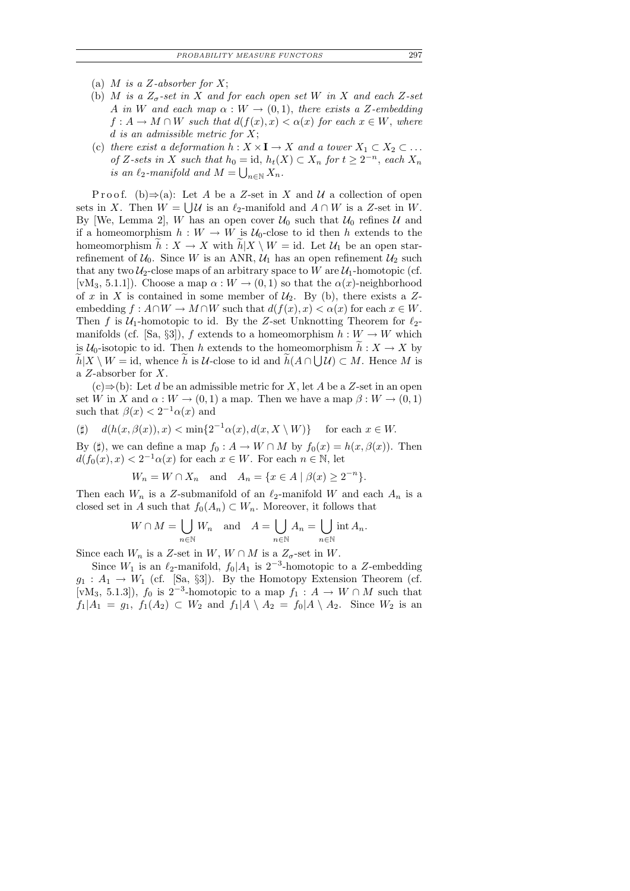- (a) M is a Z-absorber for X;
- (b) M is a  $Z_{\sigma}$ -set in X and for each open set W in X and each Z-set A in W and each map  $\alpha : W \to (0,1)$ , there exists a Z-embedding  $f: A \to M \cap W$  such that  $d(f(x), x) < \alpha(x)$  for each  $x \in W$ , where d is an admissible metric for  $X$ ;
- (c) there exist a deformation  $h: X \times I \to X$  and a tower  $X_1 \subset X_2 \subset \dots$ of Z-sets in X such that  $h_0 = id$ ,  $h_t(X) \subset X_n$  for  $t \geq 2^{-n}$ , each  $X_n$ is an  $\ell_2$ -manifold and  $M = \bigcup_{n \in \mathbb{N}} X_n$ .

P r o o f. (b)  $\Rightarrow$  (a): Let A be a Z-set in X and U a collection of open sets in X. Then  $W = \bigcup \mathcal{U}$  is an  $\ell_2$ -manifold and  $A \cap W$  is a Z-set in W. By [We, Lemma 2], W has an open cover  $\mathcal{U}_0$  such that  $\mathcal{U}_0$  refines  $\mathcal U$  and if a homeomorphism  $h : W \to W$  is  $\mathcal{U}_0$ -close to id then h extends to the homeomorphism  $h : X \to X$  with  $h|X \setminus W = id$ . Let  $\mathcal{U}_1$  be an open starrefinement of  $U_0$ . Since W is an ANR,  $U_1$  has an open refinement  $U_2$  such that any two  $\mathcal{U}_2$ -close maps of an arbitrary space to W are  $\mathcal{U}_1$ -homotopic (cf. [vM<sub>3</sub>, 5.1.1]). Choose a map  $\alpha : W \to (0,1)$  so that the  $\alpha(x)$ -neighborhood of x in X is contained in some member of  $\mathcal{U}_2$ . By (b), there exists a Zembedding  $f: A \cap W \to M \cap W$  such that  $d(f(x), x) < \alpha(x)$  for each  $x \in W$ . Then f is  $U_1$ -homotopic to id. By the Z-set Unknotting Theorem for  $\ell_2$ manifolds (cf. [Sa, §3]), f extends to a homeomorphism  $h: W \to W$  which is  $\mathcal{U}_0$ -isotopic to id. Then h extends to the homeomorphism  $\widetilde{h}: X \to X$  by  $h|X \setminus W = \text{id}$ , whence h is U-close to id and  $h(A \cap \bigcup \mathcal{U}) \subset M$ . Hence M is a Z-absorber for X.

 $(c) \Rightarrow (b)$ : Let d be an admissible metric for X, let A be a Z-set in an open set W in X and  $\alpha: W \to (0,1)$  a map. Then we have a map  $\beta: W \to (0,1)$ such that  $\beta(x) < 2^{-1} \alpha(x)$  and

$$
(\sharp) \quad d(h(x,\beta(x)),x) < \min\{2^{-1}\alpha(x),d(x,X\setminus W)\} \quad \text{ for each } x \in W.
$$

By ( $\sharp$ ), we can define a map  $f_0 : A \to W \cap M$  by  $f_0(x) = h(x, \beta(x))$ . Then  $d(f_0(x), x) < 2^{-1}\alpha(x)$  for each  $x \in W$ . For each  $n \in \mathbb{N}$ , let

$$
W_n = W \cap X_n \quad \text{and} \quad A_n = \{ x \in A \mid \beta(x) \ge 2^{-n} \}.
$$

Then each  $W_n$  is a Z-submanifold of an  $\ell_2$ -manifold W and each  $A_n$  is a closed set in A such that  $f_0(A_n) \subset W_n$ . Moreover, it follows that

$$
W \cap M = \bigcup_{n \in \mathbb{N}} W_n \quad \text{and} \quad A = \bigcup_{n \in \mathbb{N}} A_n = \bigcup_{n \in \mathbb{N}} \text{int } A_n.
$$

Since each  $W_n$  is a Z-set in  $W$ ,  $W \cap M$  is a  $Z_{\sigma}$ -set in  $W$ .

Since  $W_1$  is an  $\ell_2$ -manifold,  $f_0|A_1$  is  $2^{-3}$ -homotopic to a Z-embedding  $g_1: A_1 \to W_1$  (cf. [Sa, §3]). By the Homotopy Extension Theorem (cf. [vM<sub>3</sub>, 5.1.3]),  $f_0$  is 2<sup>-3</sup>-homotopic to a map  $f_1: A \to W \cap M$  such that  $f_1|A_1 = g_1$ ,  $f_1(A_2) \subset W_2$  and  $f_1|A \setminus A_2 = f_0|A \setminus A_2$ . Since  $W_2$  is an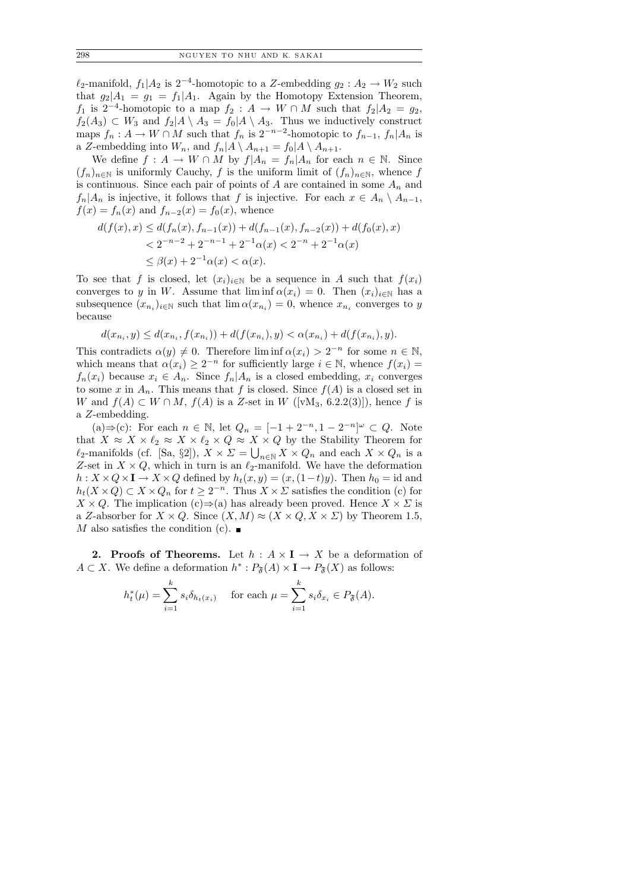$\ell_2$ -manifold,  $f_1|A_2$  is 2<sup>-4</sup>-homotopic to a Z-embedding  $g_2: A_2 \to W_2$  such that  $g_2|A_1 = g_1 = f_1|A_1$ . Again by the Homotopy Extension Theorem,  $f_1$  is 2<sup>-4</sup>-homotopic to a map  $f_2: A \to W \cap M$  such that  $f_2|A_2 = g_2$ ,  $f_2(A_3) \subset W_3$  and  $f_2|A \setminus A_3 = f_0|A \setminus A_3$ . Thus we inductively construct maps  $f_n: A \to W \cap M$  such that  $f_n$  is  $2^{-n-2}$ -homotopic to  $f_{n-1}, f_n | A_n$  is a Z-embedding into  $W_n$ , and  $f_n|A \setminus A_{n+1} = f_0|A \setminus A_{n+1}$ .

We define  $f: A \to W \cap M$  by  $f|A_n = f_n|A_n$  for each  $n \in \mathbb{N}$ . Since  $(f_n)_{n\in\mathbb{N}}$  is uniformly Cauchy, f is the uniform limit of  $(f_n)_{n\in\mathbb{N}}$ , whence f is continuous. Since each pair of points of A are contained in some  $A_n$  and  $f_n|A_n$  is injective, it follows that f is injective. For each  $x \in A_n \setminus A_{n-1}$ ,  $f(x) = f_n(x)$  and  $f_{n-2}(x) = f_0(x)$ , whence

$$
d(f(x), x) \le d(f_n(x), f_{n-1}(x)) + d(f_{n-1}(x), f_{n-2}(x)) + d(f_0(x), x)
$$
  
< 
$$
< 2^{-n-2} + 2^{-n-1} + 2^{-1}\alpha(x) < 2^{-n} + 2^{-1}\alpha(x)
$$
  

$$
\le \beta(x) + 2^{-1}\alpha(x) < \alpha(x).
$$

To see that f is closed, let  $(x_i)_{i\in\mathbb{N}}$  be a sequence in A such that  $f(x_i)$ converges to y in W. Assume that  $\liminf \alpha(x_i) = 0$ . Then  $(x_i)_{i \in \mathbb{N}}$  has a subsequence  $(x_{n_i})_{i\in\mathbb{N}}$  such that  $\lim \alpha(x_{n_i})=0$ , whence  $x_{n_i}$  converges to y because

$$
d(x_{n_i}, y) \le d(x_{n_i}, f(x_{n_i})) + d(f(x_{n_i}), y) < \alpha(x_{n_i}) + d(f(x_{n_i}), y).
$$

This contradicts  $\alpha(y) \neq 0$ . Therefore lim inf  $\alpha(x_i) > 2^{-n}$  for some  $n \in \mathbb{N}$ , which means that  $\alpha(x_i) \geq 2^{-n}$  for sufficiently large  $i \in \mathbb{N}$ , whence  $f(x_i) =$  $f_n(x_i)$  because  $x_i \in A_n$ . Since  $f_n | A_n$  is a closed embedding,  $x_i$  converges to some x in  $A_n$ . This means that f is closed. Since  $f(A)$  is a closed set in W and  $f(A) \subset W \cap M$ ,  $f(A)$  is a Z-set in W ([vM<sub>3</sub>, 6.2.2(3)]), hence f is a Z-embedding.

(a)⇒(c): For each  $n \in \mathbb{N}$ , let  $Q_n = [-1 + 2^{-n}, 1 - 2^{-n}]^{\omega} \subset Q$ . Note that  $X \approx X \times \ell_2 \approx X \times \ell_2 \times Q \approx X \times Q$  by the Stability Theorem for  $\ell_2$ -manifolds (cf. [Sa, §2]),  $X \times \Sigma = \bigcup_{n \in \mathbb{N}} X \times Q_n$  and each  $X \times Q_n$  is a Z-set in  $X \times Q$ , which in turn is an  $\ell_2$ -manifold. We have the deformation  $h: X \times Q \times I \to X \times Q$  defined by  $h_t(x, y) = (x, (1-t)y)$ . Then  $h_0 = id$  and  $h_t(X\times Q) \subset X\times Q_n$  for  $t \geq 2^{-n}$ . Thus  $X \times \Sigma$  satisfies the condition (c) for  $X \times Q$ . The implication (c)⇒(a) has already been proved. Hence  $X \times \Sigma$  is a Z-absorber for  $X \times Q$ . Since  $(X, M) \approx (X \times Q, X \times \Sigma)$  by Theorem 1.5, M also satisfies the condition (c).  $\blacksquare$ 

**2. Proofs of Theorems.** Let  $h : A \times I \rightarrow X$  be a deformation of  $A \subset X$ . We define a deformation  $h^* : P_{\mathfrak{F}}(A) \times I \to P_{\mathfrak{F}}(X)$  as follows:

$$
h_t^*(\mu) = \sum_{i=1}^k s_i \delta_{h_t(x_i)} \quad \text{for each } \mu = \sum_{i=1}^k s_i \delta_{x_i} \in P_{\mathfrak{F}}(A).
$$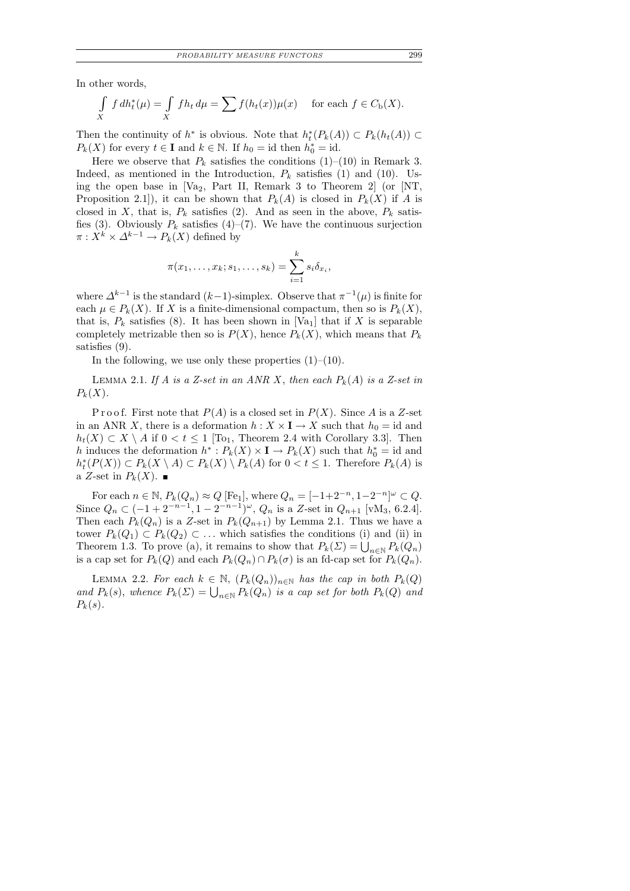In other words,

$$
\int_{X} f dh_t^*(\mu) = \int_{X} f h_t d\mu = \sum f(h_t(x))\mu(x) \quad \text{ for each } f \in C_{\mathbf{b}}(X).
$$

Then the continuity of  $h^*$  is obvious. Note that  $h_t^*(P_k(A)) \subset P_k(h_t(A)) \subset$  $P_k(X)$  for every  $t \in \mathbf{I}$  and  $k \in \mathbb{N}$ . If  $h_0 = \text{id}$  then  $h_0^* = \text{id}$ .

Here we observe that  $P_k$  satisfies the conditions (1)–(10) in Remark 3. Indeed, as mentioned in the Introduction,  $P_k$  satisfies (1) and (10). Using the open base in  $[Va_2, Part II, Remark 3$  to Theorem 2 (or  $[NT,$ Proposition 2.1]), it can be shown that  $P_k(A)$  is closed in  $P_k(X)$  if A is closed in X, that is,  $P_k$  satisfies (2). And as seen in the above,  $P_k$  satisfies (3). Obviously  $P_k$  satisfies (4)–(7). We have the continuous surjection  $\pi: X^k \times \Delta^{k-1} \to P_k(X)$  defined by

$$
\pi(x_1,\ldots,x_k;s_1,\ldots,s_k)=\sum_{i=1}^k s_i\delta_{x_i},
$$

where  $\Delta^{k-1}$  is the standard  $(k-1)$ -simplex. Observe that  $\pi^{-1}(\mu)$  is finite for each  $\mu \in P_k(X)$ . If X is a finite-dimensional compactum, then so is  $P_k(X)$ , that is,  $P_k$  satisfies (8). It has been shown in [Va<sub>1</sub>] that if X is separable completely metrizable then so is  $P(X)$ , hence  $P_k(X)$ , which means that  $P_k$ satisfies (9).

In the following, we use only these properties  $(1)$ – $(10)$ .

LEMMA 2.1. If A is a Z-set in an ANR X, then each  $P_k(A)$  is a Z-set in  $P_k(X)$ .

P r o o f. First note that  $P(A)$  is a closed set in  $P(X)$ . Since A is a Z-set in an ANR X, there is a deformation  $h: X \times I \to X$  such that  $h_0 = id$  and  $h_t(X) \subset X \setminus A$  if  $0 < t \leq 1$  [To<sub>1</sub>, Theorem 2.4 with Corollary 3.3]. Then h induces the deformation  $h^*: P_k(X) \times I \to P_k(X)$  such that  $h_0^* = id$  and  $h_t^*(P(X)) \subset P_k(X \setminus A) \subset P_k(X) \setminus P_k(A)$  for  $0 < t \leq 1$ . Therefore  $P_k(A)$  is a Z-set in  $P_k(X)$ .

For each  $n \in \mathbb{N}$ ,  $P_k(Q_n) \approx Q$  [Fe<sub>1</sub>], where  $Q_n = [-1+2^{-n}, 1-2^{-n}]^{\omega} \subset Q$ . Since  $Q_n \subset (-1+2^{-n-1}, 1-2^{-n-1})^{\omega}$ ,  $Q_n$  is a Z-set in  $Q_{n+1}$  [vM<sub>3</sub>, 6.2.4]. Then each  $P_k(Q_n)$  is a Z-set in  $P_k(Q_{n+1})$  by Lemma 2.1. Thus we have a tower  $P_k(Q_1) \subset P_k(Q_2) \subset \ldots$  which satisfies the conditions (i) and (ii) in Theorem 1.3. To prove (a), it remains to show that  $P_k(\Sigma) = \bigcup_{n \in \mathbb{N}} P_k(Q_n)$ is a cap set for  $P_k(Q)$  and each  $P_k(Q_n) \cap P_k(\sigma)$  is an fd-cap set for  $P_k(Q_n)$ .

LEMMA 2.2. For each  $k \in \mathbb{N}$ ,  $(P_k(Q_n))_{n \in \mathbb{N}}$  has the cap in both  $P_k(Q)$ and  $P_k(s)$ , whence  $P_k(\Sigma) = \bigcup_{n \in \mathbb{N}} P_k(Q_n)$  is a cap set for both  $P_k(Q)$  and  $P_k(s)$ .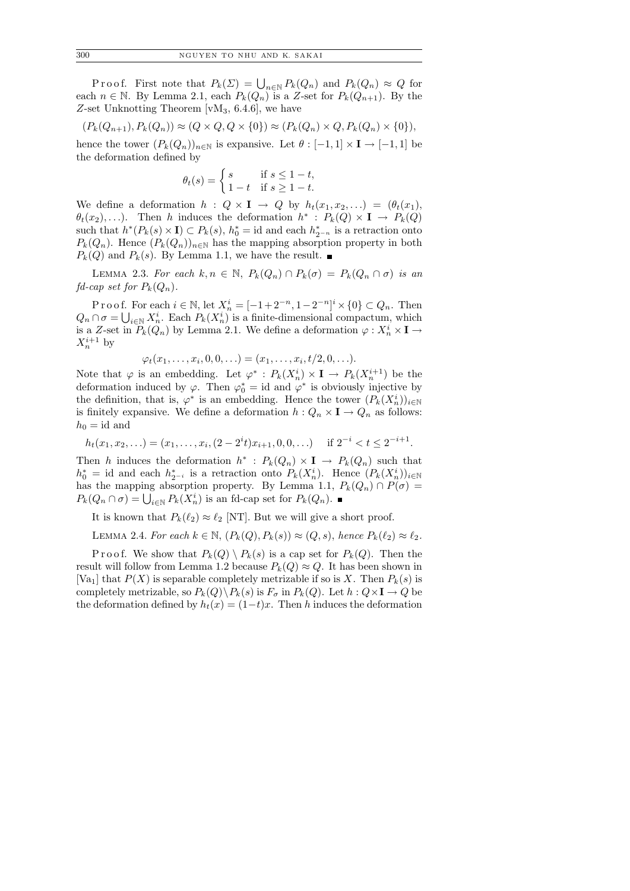Proof. First note that  $P_k(\Sigma) = \bigcup_{n \in \mathbb{N}} P_k(Q_n)$  and  $P_k(Q_n) \approx Q$  for each  $n \in \mathbb{N}$ . By Lemma 2.1, each  $P_k(Q_n)$  is a Z-set for  $P_k(Q_{n+1})$ . By the Z-set Unknotting Theorem [ $vM_3$ , 6.4.6], we have

$$
(P_k(Q_{n+1}), P_k(Q_n)) \approx (Q \times Q, Q \times \{0\}) \approx (P_k(Q_n) \times Q, P_k(Q_n) \times \{0\}),
$$

hence the tower  $(P_k(Q_n))_{n\in\mathbb{N}}$  is expansive. Let  $\theta: [-1,1] \times I \to [-1,1]$  be the deformation defined by

$$
\theta_t(s) = \begin{cases} s & \text{if } s \le 1 - t, \\ 1 - t & \text{if } s \ge 1 - t. \end{cases}
$$

We define a deformation  $h : Q \times I \rightarrow Q$  by  $h_t(x_1, x_2, \ldots) = (\theta_t(x_1),$  $\theta_t(x_2), \ldots$ ). Then h induces the deformation  $h^* : P_k(Q) \times I \to P_k(Q)$ such that  $h^*(P_k(s) \times I) \subset P_k(s)$ ,  $h_0^* = \text{id}$  and each  $h_{2^{-n}}^*$  is a retraction onto  $P_k(Q_n)$ . Hence  $(P_k(Q_n))_{n\in\mathbb{N}}$  has the mapping absorption property in both  $P_k(Q)$  and  $P_k(s)$ . By Lemma 1.1, we have the result.

LEMMA 2.3. For each  $k, n \in \mathbb{N}$ ,  $P_k(Q_n) \cap P_k(\sigma) = P_k(Q_n \cap \sigma)$  is an  $fd\text{-}cap\ set\ for\ P_k(Q_n).$ 

P r o o f. For each  $i \in \mathbb{N}$ , let  $X_n^i = [-1 + 2^{-n}, 1 - 2^{-n}]^i \times \{0\} \subset Q_n$ . Then  $Q_n \cap \sigma = \bigcup_{i \in \mathbb{N}} X_n^i$ . Each  $P_k(X_n^i)$  is a finite-dimensional compactum, which is a Z-set in  $P_k(Q_n)$  by Lemma 2.1. We define a deformation  $\varphi: X_n^i \times I \to$  $X_n^{i+1}$  by

$$
\varphi_t(x_1,\ldots,x_i,0,0,\ldots)=(x_1,\ldots,x_i,t/2,0,\ldots).
$$

Note that  $\varphi$  is an embedding. Let  $\varphi^* : P_k(X_n^i) \times I \to P_k(X_n^{i+1})$  be the deformation induced by  $\varphi$ . Then  $\varphi_0^* = id$  and  $\varphi^*$  is obviously injective by the definition, that is,  $\varphi^*$  is an embedding. Hence the tower  $(P_k(X_n^i))_{i\in\mathbb{N}}$ is finitely expansive. We define a deformation  $h: Q_n \times I \to Q_n$  as follows:  $h_0 = id$  and

$$
h_t(x_1, x_2, \ldots) = (x_1, \ldots, x_i, (2 - 2^i t)x_{i+1}, 0, 0, \ldots) \quad \text{if } 2^{-i} < t \le 2^{-i+1}.
$$

Then h induces the deformation  $h^* : P_k(Q_n) \times I \to P_k(Q_n)$  such that  $h_0^* =$  id and each  $h_{2^{-i}}^*$  is a retraction onto  $P_k(X_n^i)$ . Hence  $(P_k(X_n^i))_{i\in\mathbb{N}}$ has the mapping absorption property. By Lemma 1.1,  $P_k(Q_n) \cap P(\sigma) =$  $P_k(Q_n \cap \sigma) = \bigcup_{i \in \mathbb{N}} P_k(X_n^i)$  is an fd-cap set for  $P_k(Q_n)$ .

It is known that  $P_k(\ell_2) \approx \ell_2$  [NT]. But we will give a short proof.

LEMMA 2.4. For each  $k \in \mathbb{N}$ ,  $(P_k(Q), P_k(s)) \approx (Q, s)$ , hence  $P_k(\ell_2) \approx \ell_2$ .

P r o o f. We show that  $P_k(Q) \setminus P_k(s)$  is a cap set for  $P_k(Q)$ . Then the result will follow from Lemma 1.2 because  $P_k(Q) \approx Q$ . It has been shown in [Va<sub>1</sub>] that  $P(X)$  is separable completely metrizable if so is X. Then  $P_k(s)$  is completely metrizable, so  $P_k(Q) \backslash P_k(s)$  is  $F_{\sigma}$  in  $P_k(Q)$ . Let  $h: Q \times I \to Q$  be the deformation defined by  $h_t(x) = (1-t)x$ . Then h induces the deformation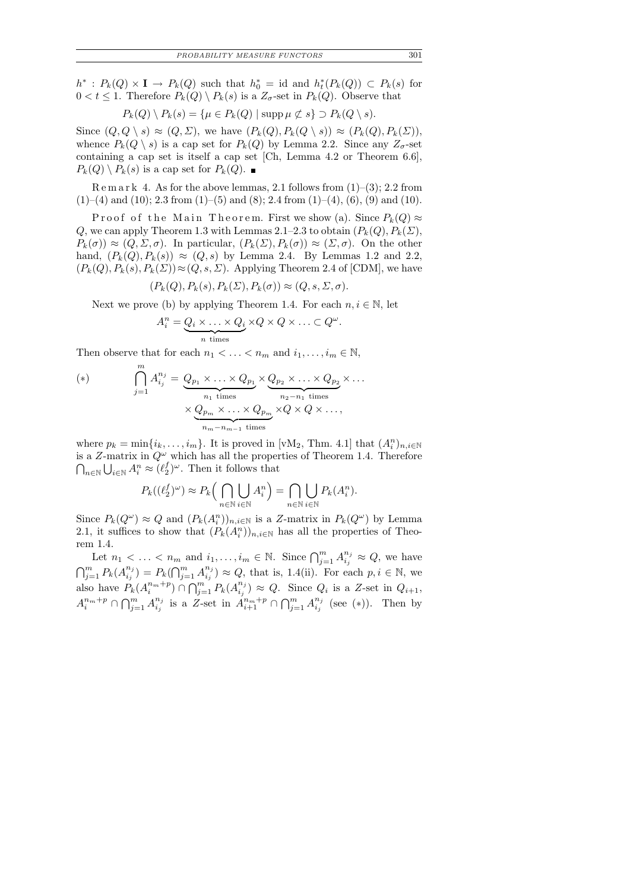$h^*: P_k(Q) \times I \to P_k(Q)$  such that  $h_0^* = id$  and  $h_t^*(P_k(Q)) \subset P_k(s)$  for  $0 < t \leq 1$ . Therefore  $P_k(Q) \setminus P_k(s)$  is a  $Z_{\sigma}$ -set in  $P_k(Q)$ . Observe that

$$
P_k(Q) \setminus P_k(s) = \{ \mu \in P_k(Q) \mid \operatorname{supp} \mu \not\subset s \} \supset P_k(Q \setminus s).
$$

Since  $(Q, Q \setminus s) \approx (Q, \Sigma)$ , we have  $(P_k(Q), P_k(Q \setminus s)) \approx (P_k(Q), P_k(\Sigma))$ , whence  $P_k(Q \setminus s)$  is a cap set for  $P_k(Q)$  by Lemma 2.2. Since any  $Z_{\sigma}$ -set containing a cap set is itself a cap set [Ch, Lemma 4.2 or Theorem 6.6],  $P_k(Q) \setminus P_k(s)$  is a cap set for  $P_k(Q)$ .

 $\mathbb{R}$  e m a r k 4. As for the above lemmas, 2.1 follows from  $(1)$ – $(3)$ ; 2.2 from  $(1)$ –(4) and (10); 2.3 from (1)–(5) and (8); 2.4 from (1)–(4), (6), (9) and (10).

Proof of the Main Theorem. First we show (a). Since  $P_k(Q) \approx$ Q, we can apply Theorem 1.3 with Lemmas 2.1–2.3 to obtain  $(P_k(Q), P_k(\Sigma))$ ,  $P_k(\sigma) \approx (Q, \Sigma, \sigma)$ . In particular,  $(P_k(\Sigma), P_k(\sigma)) \approx (\Sigma, \sigma)$ . On the other hand,  $(P_k(Q), P_k(s)) \approx (Q, s)$  by Lemma 2.4. By Lemmas 1.2 and 2.2,  $(P_k(Q), P_k(s), P_k(\Sigma)) \approx (Q, s, \Sigma)$ . Applying Theorem 2.4 of [CDM], we have

$$
(P_k(Q), P_k(s), P_k(\Sigma), P_k(\sigma)) \approx (Q, s, \Sigma, \sigma).
$$

Next we prove (b) by applying Theorem 1.4. For each  $n, i \in \mathbb{N}$ , let

$$
A_i^n = \underbrace{Q_i \times \ldots \times Q_i}_{n \text{ times}} \times Q \times Q \times \ldots \subset Q^{\omega}.
$$

Then observe that for each  $n_1 < \ldots < n_m$  and  $i_1, \ldots, i_m \in \mathbb{N}$ ,

(\*)
$$
\bigcap_{j=1}^{m} A_{i_j}^{n_j} = \underbrace{Q_{p_1} \times \ldots \times Q_{p_1}}_{n_1 \text{ times}} \times \underbrace{Q_{p_2} \times \ldots \times Q_{p_2}}_{n_2 - n_1 \text{ times}} \times \ldots
$$

$$
\times \underbrace{Q_{p_m} \times \ldots \times Q_{p_m}}_{n_m - n_{m-1} \text{ times}} \times Q \times Q \times \ldots,
$$

where  $p_k = \min\{i_k, \ldots, i_m\}$ . It is proved in [vM<sub>2</sub>, Thm. 4.1] that  $(A_i^n)_{n,i\in\mathbb{N}}$ is a Z-matrix in  $Q^{\omega}$  which has all the properties of Theorem 1.4. Therefore  $\bigcap_{n\in\mathbb{N}}\bigcup_{i\in\mathbb{N}}A^{n}_{i}\approx(\ell_{2}^{f})$  $_{2}^{f})^{\omega}$ . Then it follows that

$$
P_k((\ell_2^f)^{\omega}) \approx P_k\Big(\bigcap_{n\in\mathbb{N}}\bigcup_{i\in\mathbb{N}}A_i^n\Big) = \bigcap_{n\in\mathbb{N}}\bigcup_{i\in\mathbb{N}}P_k(A_i^n).
$$

Since  $P_k(Q^{\omega}) \approx Q$  and  $(P_k(A_i^n))_{n,i\in\mathbb{N}}$  is a Z-matrix in  $P_k(Q^{\omega})$  by Lemma 2.1, it suffices to show that  $(P_k(A_i^n))_{n,i\in\mathbb{N}}$  has all the properties of Theorem 1.4.

Let  $n_1 < \ldots < n_m$  and  $i_1, \ldots, i_m \in \mathbb{N}$ . Since  $\bigcap_{j=1}^m A_{i_j}^{n_j}$  $i_j^{n_j} \approx Q$ , we have  $\bigcap_{j=1}^{m} P_k(A_{i_j}^{n_j})$  $\binom{n_j}{i_j} = P_k \bigcap_{j=1}^m A_{i_j}^{n_j}$  $i_j^{n_j}$   $\approx Q$ , that is, 1.4(ii). For each  $p, i \in \mathbb{N}$ , we also have  $P_k(A_i^{n_m+p}) \cap \bigcap_{j=1}^m P_k(A_{i_j}^{n_j})$  $i_j^{n_j}$   $\approx Q$ . Since  $Q_i$  is a Z-set in  $Q_{i+1}$ ,  $A_i^{n_m+p} \cap \bigcap_{j=1}^m A_{i_j}^{n_j}$  $i_j^{n_j}$  is a Z-set in  $A_{i+1}^{n_m+p} \cap \bigcap_{j=1}^m A_{i_j}^{n_j}$  $\binom{n_j}{i_j}$  (see (\*)). Then by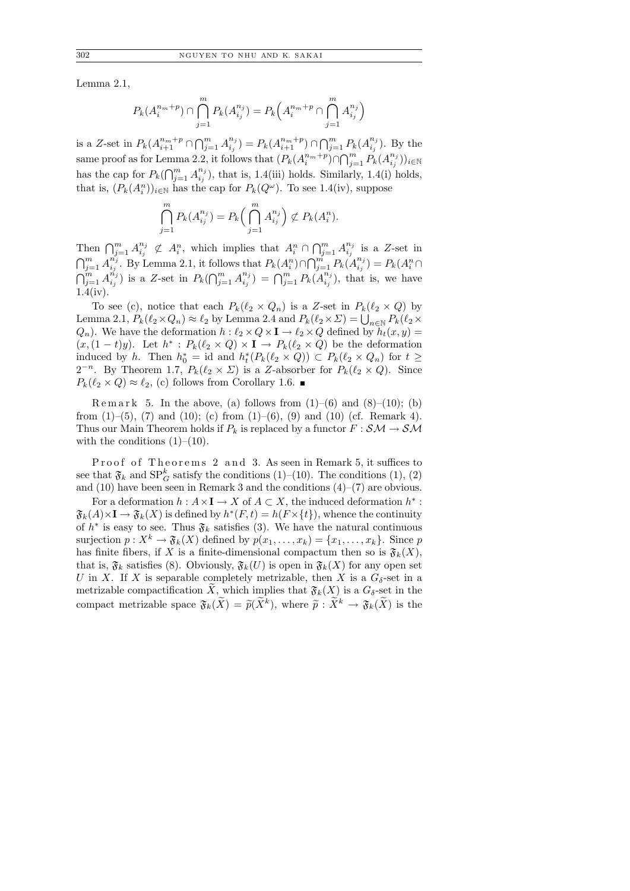Lemma 2.1,

$$
P_k(A_i^{n_m+p}) \cap \bigcap_{j=1}^m P_k(A_{i_j}^{n_j}) = P_k\Big(A_i^{n_m+p} \cap \bigcap_{j=1}^m A_{i_j}^{n_j}\Big)
$$

is a Z-set in  $P_k(A_{i+1}^{n_m+p} \cap \bigcap_{j=1}^m A_{i_j}^{n_j})$  $\binom{n_j}{i_j} = P_k(A_{i+1}^{n_m+p}) \cap \bigcap_{j=1}^m P_k(A_{i_j}^{n_j})$  $i_j^{n_j}$ ). By the same proof as for Lemma 2.2, it follows that  $(P_k(A_i^{n_m+p}) \cap \bigcap_{j=1}^m P_k(A_{i_j}^{n_j}))$  $\binom{n_j}{i_j})_{i\in\mathbb{N}}$ has the cap for  $P_k(\bigcap_{j=1}^m A_{i_j}^{n_j})$  $\binom{n_j}{i_j}$ , that is, 1.4(iii) holds. Similarly, 1.4(i) holds, that is,  $(P_k(A_i^n))_{i\in\mathbb{N}}$  has the cap for  $P_k(Q^{\omega})$ . To see 1.4(iv), suppose

$$
\bigcap_{j=1}^m P_k(A_{i_j}^{n_j}) = P_k\Big(\bigcap_{j=1}^m A_{i_j}^{n_j}\Big) \not\subset P_k(A_i^n).
$$

Then  $\bigcap_{j=1}^m A_{i_j}^{n_j}$  $i_j^{n_j} \not\subset A_i^n$ , which implies that  $A_i^n \cap \bigcap_{j=1}^m A_{i_j}^{n_j}$  $i_j^{n_j}$  is a Z-set in  $\bigcap_{j=1}^m A_{i_j}^{n_j}$  $\sum_{i_j}^{n_j}$ . By Lemma 2.1, it follows that  $P_k(A_i^n) \cap \bigcap_{j=1}^{m} P_k(A_{i_j}^{n_j})$  $\binom{n_j}{i_j} = P_k(A_i^n \cap$  $\bigcap_{j=1}^m A_{i_j}^{\vec{n}_j}$  $\binom{n_j}{i_j}$  is a Z-set in  $P_k(\bigcap_{j=1}^m A_{i_j}^{n_j})$  $\binom{n_j}{i_j} = \bigcap_{j=1}^m P_k(A_{i_j}^{n_j})$  $i_j^{n_j}$ , that is, we have 1.4(iv).

To see (c), notice that each  $P_k(\ell_2 \times Q_n)$  is a Z-set in  $P_k(\ell_2 \times Q)$  by Lemma 2.1,  $P_k(\ell_2 \times Q_n) \approx \ell_2$  by Lemma 2.4 and  $P_k(\ell_2 \times \Sigma) = \bigcup_{n \in \mathbb{N}} P_k(\ell_2 \times \Sigma)$  $Q_n$ ). We have the deformation  $h : \ell_2 \times Q \times I \to \ell_2 \times Q$  defined by  $h_t(x, y) =$  $(x,(1-t)y)$ . Let  $h^*: P_k(\ell_2 \times Q) \times I \to P_k(\ell_2 \times Q)$  be the deformation induced by h. Then  $h_0^* = id$  and  $h_t^*(P_k(\ell_2 \times Q)) \subset P_k(\ell_2 \times Q_n)$  for  $t \geq$  $2^{-n}$ . By Theorem 1.7,  $P_k(\ell_2 \times \Sigma)$  is a Z-absorber for  $P_k(\ell_2 \times Q)$ . Since  $P_k(\ell_2 \times Q) \approx \ell_2$ , (c) follows from Corollary 1.6.

Remark 5. In the above, (a) follows from  $(1)$ – $(6)$  and  $(8)$ – $(10)$ ; (b) from  $(1)$ – $(5)$ ,  $(7)$  and  $(10)$ ;  $(c)$  from  $(1)$ – $(6)$ ,  $(9)$  and  $(10)$   $(cf.$  Remark 4). Thus our Main Theorem holds if  $P_k$  is replaced by a functor  $F : \mathcal{SM} \to \mathcal{SM}$ with the conditions  $(1)-(10)$ .

Proof of Theorems 2 and 3. As seen in Remark 5, it suffices to see that  $\mathfrak{F}_k$  and  $SP_G^k$  satisfy the conditions (1)–(10). The conditions (1), (2) and  $(10)$  have been seen in Remark 3 and the conditions  $(4)$ – $(7)$  are obvious.

For a deformation  $h: A \times I \to X$  of  $A \subset X$ , the induced deformation  $h^*$ :  $\mathfrak{F}_k(A)\times I \to \mathfrak{F}_k(X)$  is defined by  $h^*(F,t) = h(F\times\{t\})$ , whence the continuity of  $h^*$  is easy to see. Thus  $\mathfrak{F}_k$  satisfies (3). We have the natural continuous surjection  $p: X^k \to \mathfrak{F}_k(X)$  defined by  $p(x_1, \ldots, x_k) = \{x_1, \ldots, x_k\}$ . Since  $p$ has finite fibers, if X is a finite-dimensional compactum then so is  $\mathfrak{F}_k(X)$ , that is,  $\mathfrak{F}_k$  satisfies (8). Obviously,  $\mathfrak{F}_k(U)$  is open in  $\mathfrak{F}_k(X)$  for any open set U in X. If X is separable completely metrizable, then X is a  $G_{\delta}$ -set in a metrizable compactification X, which implies that  $\mathfrak{F}_k(X)$  is a  $G_{\delta}$ -set in the compact metrizable space  $\mathfrak{F}_k(\tilde{X}) = \tilde{p}(\tilde{X}^k)$ , where  $\tilde{p}: \tilde{X}^k \to \mathfrak{F}_k(\tilde{X})$  is the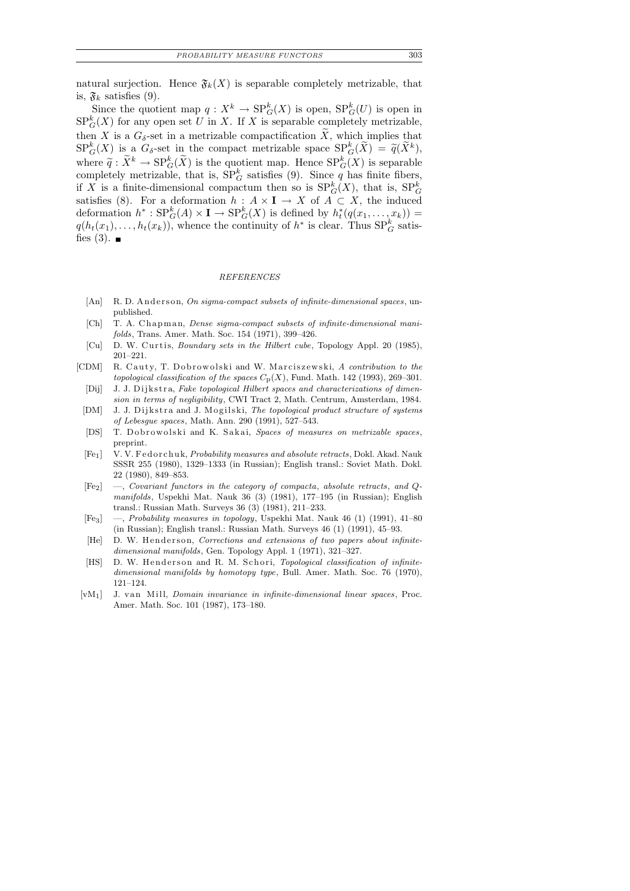natural surjection. Hence  $\mathfrak{F}_k(X)$  is separable completely metrizable, that is,  $\mathfrak{F}_k$  satisfies (9).

Since the quotient map  $q: X^k \to \mathrm{SP}^k_G(X)$  is open,  $\mathrm{SP}^k_G(U)$  is open in  $SP_G^k(X)$  for any open set U in X. If X is separable completely metrizable, then X is a  $G_{\delta}$ -set in a metrizable compactification  $\widetilde{X}$ , which implies that  $\text{SP}_G^k(X)$  is a  $G_\delta$ -set in the compact metrizable space  $\text{SP}_G^k(\widetilde{X}) = \widetilde{q}(\widetilde{X}^k)$ ,<br>where  $\widetilde{X}_k$  is  $\text{SP}_K^k(\widetilde{Y})$  is the westpact mean. Hence  $\text{SP}_K^k(Y)$  is expanded. where  $\widetilde{q}: \widetilde{X}^k \to \text{SP}_G^k(\widetilde{X})$  is the quotient map. Hence  $\text{SP}_G^k(X)$  is separable<br>completely metricable, that is  $\text{SP}_K^k$  estisfies (0). Since a has finite fibers completely metrizable, that is,  $SP_G^k$  satisfies (9). Since q has finite fibers, if X is a finite-dimensional compactum then so is  $SP_G^k(X)$ , that is,  $SP_G^k$ satisfies (8). For a deformation  $h : A \times I \to X$  of  $A \subset X$ , the induced deformation  $h^*: \text{SP}_G^k(A) \times \mathbf{I} \to \text{SP}_G^k(X)$  is defined by  $h_t^*(q(x_1, \ldots, x_k)) =$  $q(h_t(x_1),\ldots,h_t(x_k))$ , whence the continuity of  $h^*$  is clear. Thus  $SP_G^k$  satisfies  $(3)$ .

#### *REFERENCES*

- [An] R. D. Anderson, *On sigma-compact subsets of infinite-dimensional spaces*, unpublished.
- [Ch] T. A. Chapman, *Dense sigma-compact subsets of infinite-dimensional manifolds*, Trans. Amer. Math. Soc. 154 (1971), 399–426.
- [Cu] D. W. Curtis, *Boundary sets in the Hilbert cube*, Topology Appl. 20 (1985), 201–221.
- [CDM] R. Cauty, T. Dobrowolski and W. Marciszewski, *A contribution to the topological classification of the spaces*  $C_p(X)$ , Fund. Math. 142 (1993), 269–301.
	- [Dij] J. J. Dijkstra, *Fake topological Hilbert spaces and characterizations of dimension in terms of negligibility*, CWI Tract 2, Math. Centrum, Amsterdam, 1984.
	- [DM] J. J. Dijkstra and J. Mogilski, *The topological product structure of systems of Lebesgue spaces*, Math. Ann. 290 (1991), 527–543.
	- [DS] T. D o b row olski and K. Sakai, *Spaces of measures on metrizable spaces*, preprint.
	- [Fe<sub>1</sub>] V. V. Fedorchuk, *Probability measures and absolute retracts*, Dokl. Akad. Nauk SSSR 255 (1980), 1329–1333 (in Russian); English transl.: Soviet Math. Dokl. 22 (1980), 849–853.
	- [Fe2] —, *Covariant functors in the category of compacta*, *absolute retracts*, *and Qmanifolds*, Uspekhi Mat. Nauk 36 (3) (1981), 177–195 (in Russian); English transl.: Russian Math. Surveys 36 (3) (1981), 211–233.
	- [Fe3] —, *Probability measures in topology*, Uspekhi Mat. Nauk 46 (1) (1991), 41–80 (in Russian); English transl.: Russian Math. Surveys 46 (1) (1991), 45–93.
	- [He] D. W. Henderson, *Corrections and extensions of two papers about infinitedimensional manifolds*, Gen. Topology Appl. 1 (1971), 321–327.
	- [HS] D. W. Henderson and R. M. Schori, *Topological classification of infinitedimensional manifolds by homotopy type*, Bull. Amer. Math. Soc. 76 (1970), 121–124.
- [vM<sub>1</sub>] J. van Mill, *Domain invariance in infinite-dimensional linear spaces*, Proc. Amer. Math. Soc. 101 (1987), 173–180.